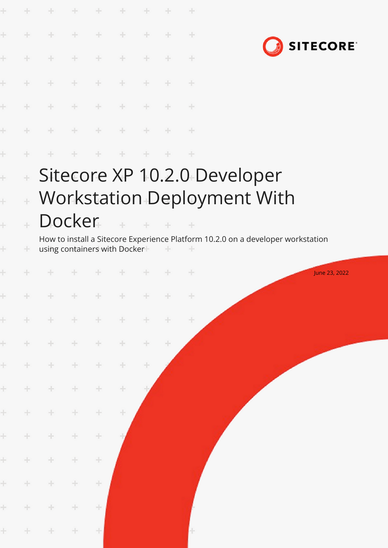|           | ÷                                                                                                                 | ÷             | $+$           | $+$             | $+$                                                                 | ÷             | ÷             | $+$   |                                                                                 |
|-----------|-------------------------------------------------------------------------------------------------------------------|---------------|---------------|-----------------|---------------------------------------------------------------------|---------------|---------------|-------|---------------------------------------------------------------------------------|
| ÷         | ÷                                                                                                                 | $\frac{1}{2}$ | $\pm$         | $\div$          | $\frac{1}{2} \left( \frac{1}{2} \right) \left( \frac{1}{2} \right)$ | ÷             | ÷             | $\pm$ | <b>SITECORE</b>                                                                 |
|           | ÷                                                                                                                 | ÷             | $+$           | $\frac{1}{2}$ . | $+$                                                                 | ÷             | ÷             | ÷     |                                                                                 |
|           | $+$                                                                                                               | $+$           | $+ - +$       |                 | $+$                                                                 | $+$           | $+$           | $+$   |                                                                                 |
|           | $\frac{1}{2}$                                                                                                     | $\pm$         | $++$ $+$      |                 | $\rightarrow$                                                       | $+$           | $+$           | $+$   |                                                                                 |
| ÷         | ÷                                                                                                                 | $\pm$         | $\rightarrow$ |                 | $+ - +$                                                             | $\pm$         | $\rightarrow$ | $+$   |                                                                                 |
| ÷         | ÷                                                                                                                 | $\rightarrow$ | $+$           | $+$             | $+$                                                                 | $-1$          | $+$           | $+$   |                                                                                 |
| ÷         | $\pm$                                                                                                             |               |               |                 |                                                                     |               |               |       | Sitecore XP 10.2.0 Developer                                                    |
| $\ddot{}$ | $\div$                                                                                                            |               |               |                 |                                                                     |               |               |       | Workstation Deployment With                                                     |
| ÷         |                                                                                                                   | Docker        |               |                 |                                                                     | $\frac{1}{2}$ | $\sim$        |       |                                                                                 |
| ÷         | ÷                                                                                                                 |               |               |                 | using containers with Docker                                        |               | $\pm$         | $+$   | How to install a Sitecore Experience Platform 10.2.0 on a developer workstation |
|           |                                                                                                                   |               |               | $\rightarrow$   | the projection                                                      | $+$           | $+$           | $+$   | June 23, 2022                                                                   |
| $\pm$     | $+$                                                                                                               | $+$           | $\pm$         | $+$             | 十                                                                   | $+$           | $\pm$         | $+$   |                                                                                 |
| $\pm$     | $+$                                                                                                               | ÷             | ÷             | $\pm$           | $+$                                                                 | $\pm$         | ÷             | ÷.    |                                                                                 |
| $\pm$     | $\frac{1}{2} \sum_{i=1}^n \left( \frac{1}{2} \right)^2 \left( \frac{1}{2} \right)^2 \left( \frac{1}{2} \right)^2$ | ÷.            | ÷             | ÷               | ÷                                                                   | $\div$        | $\div$        |       |                                                                                 |
| $\pm$     | ÷                                                                                                                 | $+$           | $+$           | ÷               | $+$                                                                 | ÷             |               |       |                                                                                 |
| $\pm$     | $\div$                                                                                                            | $\div$        | $\pm$         | $\div$          | ÷                                                                   |               |               |       |                                                                                 |
| $\pm$     | $\pm$                                                                                                             | ÷             | ÷             | ÷               | ÷                                                                   |               |               |       |                                                                                 |
| $\pm$     | ÷                                                                                                                 | ÷             | ÷             | ÷               |                                                                     |               |               |       |                                                                                 |
| $\pm$     | $\div$                                                                                                            | $\pm$         | $\div$        | ÷               |                                                                     |               |               |       |                                                                                 |
| $\pm$     | $\pm$                                                                                                             | ÷             | ÷             | ÷               |                                                                     |               |               |       |                                                                                 |
| $\pm$     | $+$                                                                                                               | ÷             | $\div$        | ÷               |                                                                     |               |               |       |                                                                                 |
| ÷.        | $+$                                                                                                               | ÷             | $\pm$         | ÷               |                                                                     |               |               |       |                                                                                 |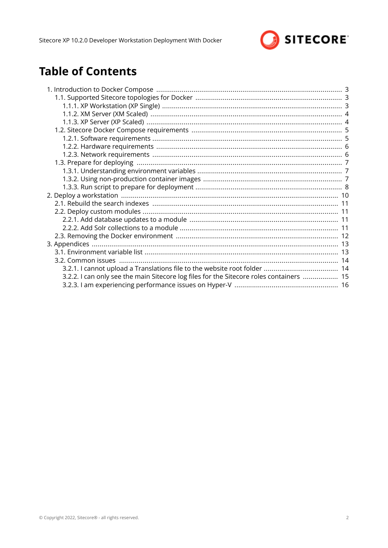

# **Table of Contents**

| 3.2.2. I can only see the main Sitecore log files for the Sitecore roles containers  15 |  |
|-----------------------------------------------------------------------------------------|--|
|                                                                                         |  |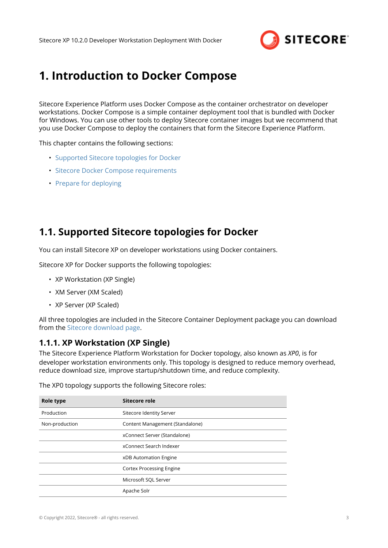

# <span id="page-2-0"></span>**1. Introduction to Docker Compose**

Sitecore Experience Platform uses Docker Compose as the container orchestrator on developer workstations. Docker Compose is a simple container deployment tool that is bundled with Docker for Windows. You can use other tools to deploy Sitecore container images but we recommend that you use Docker Compose to deploy the containers that form the Sitecore Experience Platform.

This chapter contains the following sections:

- Supported Sitecore topologies for Docker
- [Sitecore Docker Compose requirements](#page-4-0)
- [Prepare for deploying](#page-6-0)

## **1.1. Supported Sitecore topologies for Docker**

You can install Sitecore XP on developer workstations using Docker containers.

Sitecore XP for Docker supports the following topologies:

- XP Workstation (XP Single)
- XM Server (XM Scaled)
- XP Server (XP Scaled)

All three topologies are included in the Sitecore Container Deployment package you can download from the [Sitecore download page](https://dev.sitecore.net/Downloads/Sitecore_Experience_Platform.aspx).

## **1.1.1. XP Workstation (XP Single)**

The Sitecore Experience Platform Workstation for Docker topology, also known as *XP0*, is for developer workstation environments only. This topology is designed to reduce memory overhead, reduce download size, improve startup/shutdown time, and reduce complexity.

| Role type      | Sitecore role                   |
|----------------|---------------------------------|
| Production     | Sitecore Identity Server        |
| Non-production | Content Management (Standalone) |
|                | xConnect Server (Standalone)    |
|                | xConnect Search Indexer         |
|                | xDB Automation Engine           |
|                | <b>Cortex Processing Engine</b> |
|                | Microsoft SQL Server            |
|                | Apache Solr                     |

The XP0 topology supports the following Sitecore roles: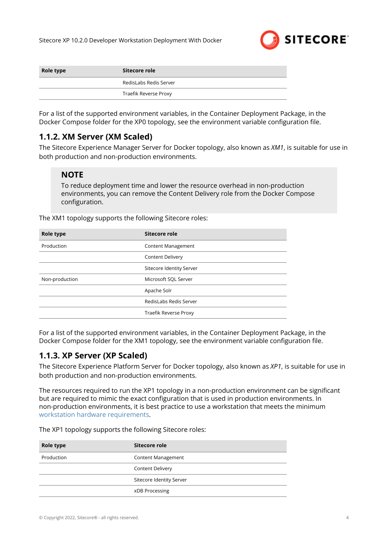

<span id="page-3-0"></span>

| Role type | Sitecore role          |  |  |
|-----------|------------------------|--|--|
|           | RedisLabs Redis Server |  |  |
|           | Traefik Reverse Proxy  |  |  |

For a list of the supported environment variables, in the Container Deployment Package, in the Docker Compose folder for the XP0 topology, see the environment variable configuration file.

## **1.1.2. XM Server (XM Scaled)**

The Sitecore Experience Manager Server for Docker topology, also known as *XM1*, is suitable for use in both production and non-production environments.

#### **NOTE**

To reduce deployment time and lower the resource overhead in non-production environments, you can remove the Content Delivery role from the Docker Compose configuration.

The XM1 topology supports the following Sitecore roles:

| Role type      | Sitecore role             |
|----------------|---------------------------|
| Production     | <b>Content Management</b> |
|                | <b>Content Delivery</b>   |
|                | Sitecore Identity Server  |
| Non-production | Microsoft SQL Server      |
|                | Apache Solr               |
|                | RedisLabs Redis Server    |
|                | Traefik Reverse Proxy     |

For a list of the supported environment variables, in the Container Deployment Package, in the Docker Compose folder for the XM1 topology, see the environment variable configuration file.

## **1.1.3. XP Server (XP Scaled)**

The Sitecore Experience Platform Server for Docker topology, also known as *XP1*, is suitable for use in both production and non-production environments.

The resources required to run the XP1 topology in a non-production environment can be significant but are required to mimic the exact configuration that is used in production environments. In non-production environments, it is best practice to use a workstation that meets the minimum [workstation hardware requirements.](#page-5-0)

The XP1 topology supports the following Sitecore roles:

| Role type  | Sitecore role             |
|------------|---------------------------|
| Production | <b>Content Management</b> |
|            | <b>Content Delivery</b>   |
|            | Sitecore Identity Server  |
|            | xDB Processing            |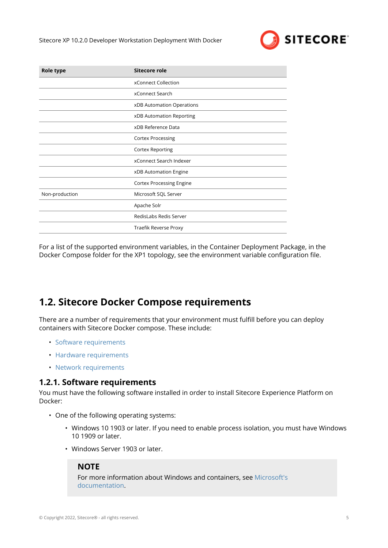

<span id="page-4-0"></span>

| Role type      | <b>Sitecore role</b>            |
|----------------|---------------------------------|
|                | xConnect Collection             |
|                | xConnect Search                 |
|                | xDB Automation Operations       |
|                | xDB Automation Reporting        |
|                | xDB Reference Data              |
|                | <b>Cortex Processing</b>        |
|                | <b>Cortex Reporting</b>         |
|                | xConnect Search Indexer         |
|                | xDB Automation Engine           |
|                | <b>Cortex Processing Engine</b> |
| Non-production | Microsoft SQL Server            |
|                | Apache Solr                     |
|                | RedisLabs Redis Server          |
|                | Traefik Reverse Proxy           |

For a list of the supported environment variables, in the Container Deployment Package, in the Docker Compose folder for the XP1 topology, see the environment variable configuration file.

## **1.2. Sitecore Docker Compose requirements**

There are a number of requirements that your environment must fulfill before you can deploy containers with Sitecore Docker compose. These include:

- Software requirements
- [Hardware requirements](#page-5-0)
- [Network requirements](#page-5-0)

## **1.2.1. Software requirements**

You must have the following software installed in order to install Sitecore Experience Platform on Docker:

- One of the following operating systems:
	- Windows 10 1903 or later. If you need to enable process isolation, you must have Windows 10 1909 or later.
	- Windows Server 1903 or later.

## **NOTE**

For more information about Windows and containers, see [Microsoft's](https://docs.microsoft.com/en-us/virtualization/windowscontainers/about/) [documentation](https://docs.microsoft.com/en-us/virtualization/windowscontainers/about/).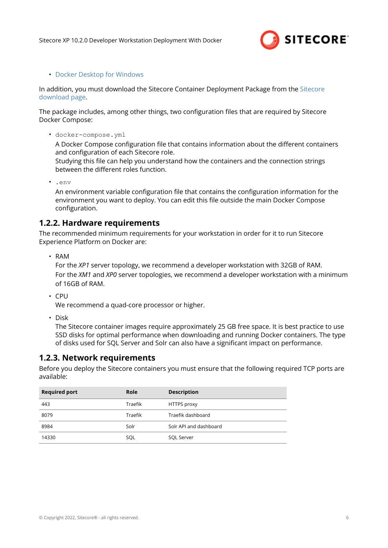

#### <span id="page-5-0"></span>• [Docker Desktop for Windows](https://docs.docker.com/docker-for-windows/install/)

In addition, you must download the Sitecore Container Deployment Package from the [Sitecore](https://dev.sitecore.net/Downloads/Sitecore_Experience_Platform.aspx) [download page.](https://dev.sitecore.net/Downloads/Sitecore_Experience_Platform.aspx)

The package includes, among other things, two configuration files that are required by Sitecore Docker Compose:

• docker-compose.yml

A Docker Compose configuration file that contains information about the different containers and configuration of each Sitecore role.

Studying this file can help you understand how the containers and the connection strings between the different roles function.

• .env

An environment variable configuration file that contains the configuration information for the environment you want to deploy. You can edit this file outside the main Docker Compose configuration.

## **1.2.2. Hardware requirements**

The recommended minimum requirements for your workstation in order for it to run Sitecore Experience Platform on Docker are:

• RAM

For the *XP1* server topology, we recommend a developer workstation with 32GB of RAM. For the *XM1* and *XP0* server topologies, we recommend a developer workstation with a minimum of 16GB of RAM.

• CPU

We recommend a quad-core processor or higher.

• Disk

The Sitecore container images require approximately 25 GB free space. It is best practice to use SSD disks for optimal performance when downloading and running Docker containers. The type of disks used for SQL Server and Solr can also have a significant impact on performance.

## **1.2.3. Network requirements**

Before you deploy the Sitecore containers you must ensure that the following required TCP ports are available:

| <b>Required port</b> | <b>Role</b> | <b>Description</b>     |
|----------------------|-------------|------------------------|
| 443                  | Traefik     | <b>HTTPS</b> proxy     |
| 8079                 | Traefik     | Traefik dashboard      |
| 8984                 | Solr        | Solr API and dashboard |
| 14330                | SOL         | <b>SQL Server</b>      |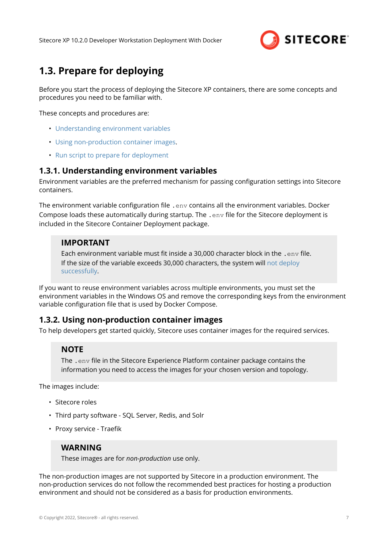

# <span id="page-6-0"></span>**1.3. Prepare for deploying**

Before you start the process of deploying the Sitecore XP containers, there are some concepts and procedures you need to be familiar with.

These concepts and procedures are:

- Understanding environment variables
- Using non-production container images.
- [Run script to prepare for deployment](#page-7-0)

#### **1.3.1. Understanding environment variables**

Environment variables are the preferred mechanism for passing configuration settings into Sitecore containers.

The environment variable configuration file .  $env$  contains all the environment variables. Docker Compose loads these automatically during startup. The .env file for the Sitecore deployment is included in the Sitecore Container Deployment package.

## **IMPORTANT**

Each environment variable must fit inside a 30,000 character block in the .env file. If the size of the variable exceeds 30,000 characters, the system will [not deploy](https://devblogs.microsoft.com/oldnewthing/20100203-00/?p=15083) [successfully](https://devblogs.microsoft.com/oldnewthing/20100203-00/?p=15083).

If you want to reuse environment variables across multiple environments, you must set the environment variables in the Windows OS and remove the corresponding keys from the environment variable configuration file that is used by Docker Compose.

#### **1.3.2. Using non-production container images**

To help developers get started quickly, Sitecore uses container images for the required services.

## **NOTE**

The .env file in the Sitecore Experience Platform container package contains the information you need to access the images for your chosen version and topology.

The images include:

- Sitecore roles
- Third party software SQL Server, Redis, and Solr
- Proxy service Traefik

## **WARNING**

These images are for *non-production* use only.

The non-production images are not supported by Sitecore in a production environment. The non-production services do not follow the recommended best practices for hosting a production environment and should not be considered as a basis for production environments.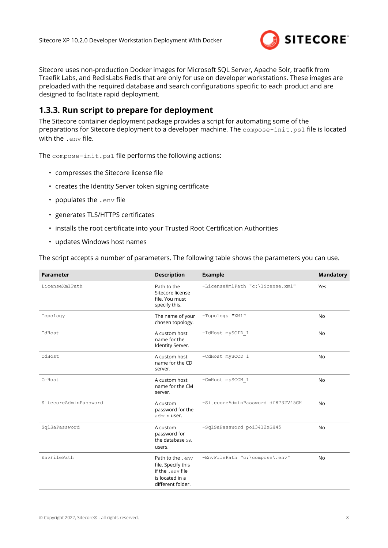

<span id="page-7-0"></span>Sitecore uses non-production Docker images for Microsoft SQL Server, Apache Solr, traefik from Traefik Labs, and RedisLabs Redis that are only for use on developer workstations. These images are preloaded with the required database and search configurations specific to each product and are designed to facilitate rapid deployment.

## **1.3.3. Run script to prepare for deployment**

The Sitecore container deployment package provides a script for automating some of the preparations for Sitecore deployment to a developer machine. The compose-init.ps1 file is located with the .env file.

The compose-init.ps1 file performs the following actions:

- compresses the Sitecore license file
- creates the Identity Server token signing certificate
- populates the .env file
- generates TLS/HTTPS certificates
- installs the root certificate into your Trusted Root Certification Authorities
- updates Windows host names

The script accepts a number of parameters. The following table shows the parameters you can use.

| <b>Parameter</b>      | <b>Description</b>                                                                                 | <b>Example</b>                     | <b>Mandatory</b> |
|-----------------------|----------------------------------------------------------------------------------------------------|------------------------------------|------------------|
| LicenseXmlPath        | Path to the<br>Sitecore license<br>file. You must<br>specify this.                                 | -LicenseXmlPath "c:\license.xml"   | Yes              |
| Topology              | The name of your<br>chosen topology.                                                               | -Topology "XM1"                    | <b>No</b>        |
| IdHost                | A custom host<br>name for the<br>Identity Server.                                                  | -IdHost mySCID 1                   | No               |
| CdHost                | A custom host<br>name for the CD<br>server.                                                        | -CdHost mySCCD 1                   | <b>No</b>        |
| CmHost                | A custom host<br>name for the CM<br>server.                                                        | -CmHost mySCCM 1                   | <b>No</b>        |
| SitecoreAdminPassword | A custom<br>password for the<br>admin user.                                                        | -SitecoreAdminPassword df8732V45GH | <b>No</b>        |
| SqlSaPassword         | A custom<br>password for<br>the database SA<br>users.                                              | -SqlSaPassword poi3412xGH45        | <b>No</b>        |
| EnvFilePath           | Path to the .env<br>file. Specify this<br>if the .env file<br>is located in a<br>different folder. | -EnvFilePath "c:\compose\.env"     | <b>No</b>        |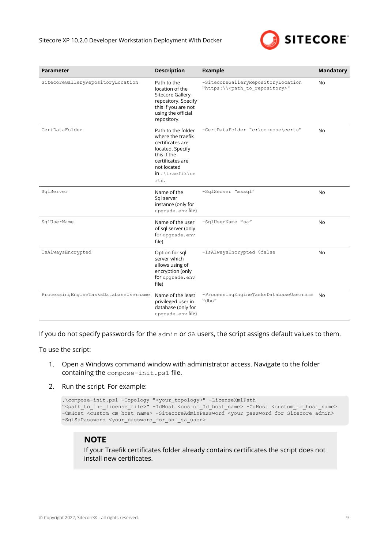

| <b>Parameter</b>                      | <b>Description</b>                                                                                                                                          | <b>Example</b>                                                                             | <b>Mandatory</b> |
|---------------------------------------|-------------------------------------------------------------------------------------------------------------------------------------------------------------|--------------------------------------------------------------------------------------------|------------------|
| SitecoreGalleryRepositoryLocation     | Path to the<br>location of the<br>Sitecore Gallery<br>repository. Specify<br>this if you are not<br>using the official<br>repository.                       | -SitecoreGalleryRepositoryLocation<br>"https:\\ <path_to_repository>"</path_to_repository> | N <sub>0</sub>   |
| CertDataFolder                        | Path to the folder<br>where the traefik<br>certificates are<br>located. Specify<br>this if the<br>certificates are<br>not located<br>in.\traefik\ce<br>rts. | -CertDataFolder "c:\compose\certs"                                                         | No               |
| SqlServer                             | Name of the<br>Sql server<br>instance (only for<br>upgrade.env file)                                                                                        | -SqlServer "mssql"                                                                         | No               |
| SqlUserName                           | Name of the user<br>of sql server (only<br>for upgrade.env<br>file)                                                                                         | -SqlUserName "sa"                                                                          | <b>No</b>        |
| IsAlwaysEncrypted                     | Option for sql<br>server which<br>allows using of<br>encryption (only<br>for upgrade.env<br>file)                                                           | -IsAlwaysEncrypted \$false                                                                 | N <sub>0</sub>   |
| ProcessingEngineTasksDatabaseUsername | Name of the least<br>privileged user in<br>database (only for<br>upgrade.env file)                                                                          | -ProcessingEngineTasksDatabaseUsername<br>"dbo"                                            | No.              |

If you do not specify passwords for the admin or SA users, the script assigns default values to them.

To use the script:

- 1. Open a Windows command window with administrator access. Navigate to the folder containing the compose-init.ps1 file.
- 2. Run the script. For example:

```
.\compose-init.ps1 -Topology "<your_topology>" -LicenseXmlPath 
"<path_to_the_license_file>" -IdHost <custom_Id_host_name> -CdHost <custom_cd_host_name>
-CmHost <custom cm host name> -SitecoreAdminPassword <your password for Sitecore admin>
-SqlSaPassword <your password for sql sa user>
```
#### **NOTE**

If your Traefik certificates folder already contains certificates the script does not install new certificates.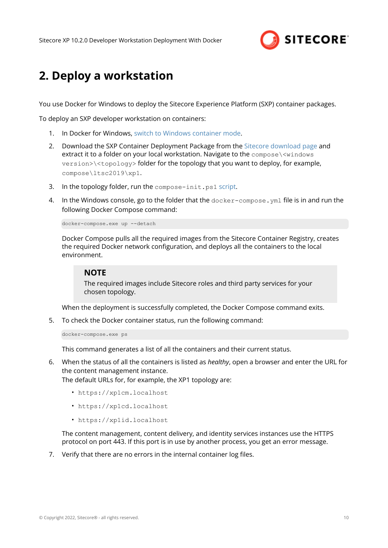

# <span id="page-9-0"></span>**2. Deploy a workstation**

You use Docker for Windows to deploy the Sitecore Experience Platform (SXP) container packages.

To deploy an SXP developer workstation on containers:

- 1. In Docker for Windows, [switch to Windows container mode](https://docs.docker.com/docker-for-windows/#switch-between-windows-and-linux-containers).
- 2. Download the SXP Container Deployment Package from the [Sitecore download page](https://dev.sitecore.net/Downloads/Sitecore_Experience_Platform.aspx) and extract it to a folder on your local workstation. Navigate to the compose\<windows version>\<topology> folder for the topology that you want to deploy, for example, compose\ltsc2019\xp1.
- 3. In the topology folder, run the compose-init.ps1 [script.](#page-7-0)
- 4. In the Windows console, go to the folder that the docker-compose. ym1 file is in and run the following Docker Compose command:

docker-compose.exe up --detach

Docker Compose pulls all the required images from the Sitecore Container Registry, creates the required Docker network configuration, and deploys all the containers to the local environment.

#### **NOTE**

The required images include Sitecore roles and third party services for your chosen topology.

When the deployment is successfully completed, the Docker Compose command exits.

5. To check the Docker container status, run the following command:

docker-compose.exe ps

This command generates a list of all the containers and their current status.

6. When the status of all the containers is listed as *healthy*, open a browser and enter the URL for the content management instance.

The default URLs for, for example, the XP1 topology are:

- https://xp1cm.localhost
- https://xp1cd.localhost
- https://xp1id.localhost

The content management, content delivery, and identity services instances use the HTTPS protocol on port 443. If this port is in use by another process, you get an error message.

7. Verify that there are no errors in the internal container log files.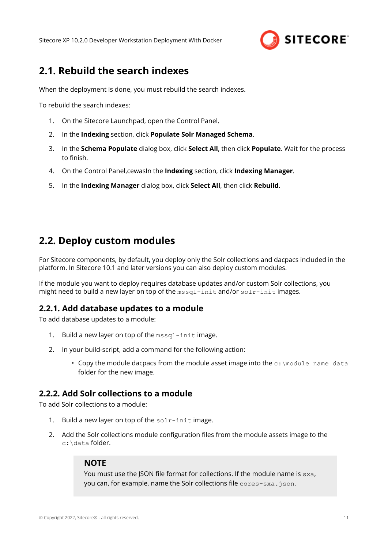

## <span id="page-10-0"></span>**2.1. Rebuild the search indexes**

When the deployment is done, you must rebuild the search indexes.

To rebuild the search indexes:

- 1. On the Sitecore Launchpad, open the Control Panel.
- 2. In the **Indexing** section, click **Populate Solr Managed Schema**.
- 3. In the **Schema Populate** dialog box, click **Select All**, then click **Populate**. Wait for the process to finish.
- 4. On the Control Panel,cewasIn the **Indexing** section, click **Indexing Manager**.
- 5. In the **Indexing Manager** dialog box, click **Select All**, then click **Rebuild**.

## **2.2. Deploy custom modules**

For Sitecore components, by default, you deploy only the Solr collections and dacpacs included in the platform. In Sitecore 10.1 and later versions you can also deploy custom modules.

If the module you want to deploy requires database updates and/or custom Solr collections, you might need to build a new layer on top of the mssql-init and/or solr-init images.

## **2.2.1. Add database updates to a module**

To add database updates to a module:

- 1. Build a new layer on top of the mssql-init image.
- 2. In your build-script, add a command for the following action:
	- Copy the module dacpacs from the module asset image into the  $c:\mod 1$  name data folder for the new image.

## **2.2.2. Add Solr collections to a module**

To add Solr collections to a module:

- 1. Build a new layer on top of the  $solar-init$  image.
- 2. Add the Solr collections module configuration files from the module assets image to the c:\data folder.

#### **NOTE**

You must use the JSON file format for collections. If the module name is sxa, you can, for example, name the Solr collections file cores-sxa.json.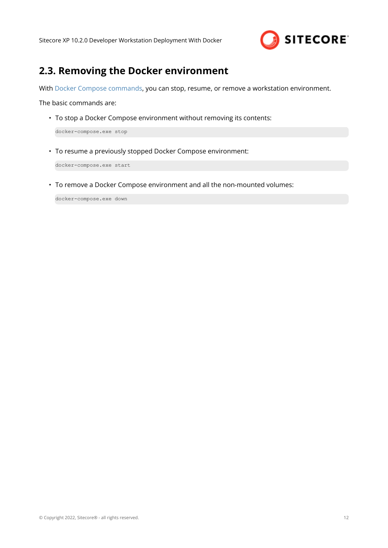

# <span id="page-11-0"></span>**2.3. Removing the Docker environment**

With [Docker Compose commands](https://docs.docker.com/compose/reference/), you can stop, resume, or remove a workstation environment.

The basic commands are:

• To stop a Docker Compose environment without removing its contents:

docker-compose.exe stop

• To resume a previously stopped Docker Compose environment:

docker-compose.exe start

• To remove a Docker Compose environment and all the non-mounted volumes:

docker-compose.exe down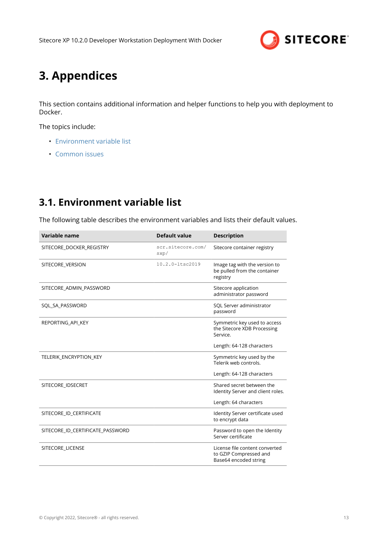

# <span id="page-12-0"></span>**3. Appendices**

This section contains additional information and helper functions to help you with deployment to Docker.

The topics include:

- Environment variable list
- [Common issues](#page-13-0)

# **3.1. Environment variable list**

The following table describes the environment variables and lists their default values.

| Variable name                    | <b>Default value</b>      | <b>Description</b>                                                                |
|----------------------------------|---------------------------|-----------------------------------------------------------------------------------|
| SITECORE_DOCKER_REGISTRY         | scr.sitecore.com/<br>sxp/ | Sitecore container registry                                                       |
| SITECORE VERSION                 | $10.2.0 - 10.2019$        | Image tag with the version to<br>be pulled from the container<br>registry         |
| SITECORE ADMIN PASSWORD          |                           | Sitecore application<br>administrator password                                    |
| SQL SA PASSWORD                  |                           | SQL Server administrator<br>password                                              |
| REPORTING API KEY                |                           | Symmetric key used to access<br>the Sitecore XDB Processing<br>Service.           |
|                                  |                           | Length: 64-128 characters                                                         |
| TELERIK ENCRYPTION KEY           |                           | Symmetric key used by the<br>Telerik web controls.                                |
|                                  |                           | Length: 64-128 characters                                                         |
| SITECORE IDSECRET                |                           | Shared secret between the<br>Identity Server and client roles.                    |
|                                  |                           | Length: 64 characters                                                             |
| SITECORE ID CERTIFICATE          |                           | Identity Server certificate used<br>to encrypt data                               |
| SITECORE ID CERTIFICATE PASSWORD |                           | Password to open the Identity<br>Server certificate                               |
| SITECORE_LICENSE                 |                           | License file content converted<br>to GZIP Compressed and<br>Base64 encoded string |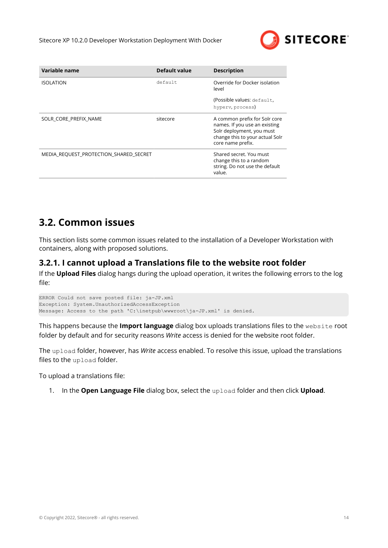

<span id="page-13-0"></span>

| Variable name                          | Default value | <b>Description</b>                                                                                                                                  |
|----------------------------------------|---------------|-----------------------------------------------------------------------------------------------------------------------------------------------------|
| <b>ISOLATION</b>                       | default       | Override for Docker isolation<br>level                                                                                                              |
|                                        |               | (Possible values: default,<br>hyperv, process)                                                                                                      |
| SOLR CORE PREFIX NAME                  | sitecore      | A common prefix for Solr core<br>names. If you use an existing<br>Solr deployment, you must<br>change this to your actual Solr<br>core name prefix. |
| MEDIA REQUEST PROTECTION SHARED SECRET |               | Shared secret. You must<br>change this to a random<br>string. Do not use the default<br>value.                                                      |

## **3.2. Common issues**

This section lists some common issues related to the installation of a Developer Workstation with containers, along with proposed solutions.

## **3.2.1. I cannot upload a Translations file to the website root folder**

If the **Upload Files** dialog hangs during the upload operation, it writes the following errors to the log file:

ERROR Could not save posted file: ja-JP.xml Exception: System.UnauthorizedAccessException Message: Access to the path 'C:\inetpub\wwwroot\ja-JP.xml' is denied.

This happens because the **Import language** dialog box uploads translations files to the website root folder by default and for security reasons *Write* access is denied for the website root folder.

The upload folder, however, has *Write* access enabled. To resolve this issue, upload the translations files to the upload folder.

To upload a translations file:

1. In the **Open Language File** dialog box, select the upload folder and then click **Upload**.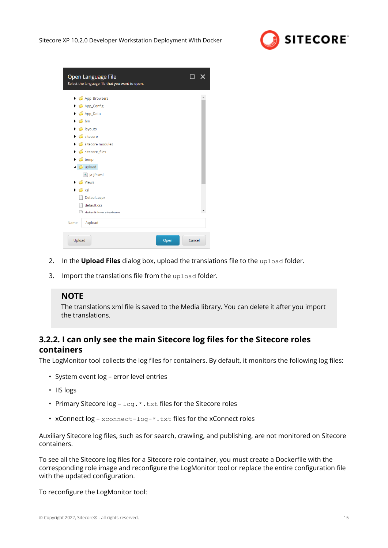

<span id="page-14-0"></span>

| Open Language File<br>Select the language file that you want to open. |        |
|-----------------------------------------------------------------------|--------|
| App_Browsers                                                          |        |
| $\triangleright$ $\blacksquare$ App_Config                            |        |
| $\triangleright$ $\blacksquare$ App_Data                              |        |
| $\triangleright$ $\blacksquare$ bin                                   |        |
| $\triangleright$ $\blacksquare$ layouts                               |        |
| sitecore                                                              |        |
| sitecore modules                                                      |        |
| sitecore_files<br>▶                                                   |        |
| $\triangleright$ $\blacksquare$ temp                                  |        |
| $\triangleleft$ upload                                                |        |
| <sup>ca}</sup> ja-JP.xml                                              |        |
| $\triangleright$ $\blacksquare$ Views                                 |        |
| $\triangleright$ $\blacksquare$ xsl                                   |        |
| Default.aspx                                                          |        |
| default.css                                                           |        |
| And a default htm citadown                                            |        |
| /upload<br>Name:                                                      |        |
| Upload<br>Open                                                        | Cancel |

- 2. In the **Upload Files** dialog box, upload the translations file to the upload folder.
- 3. Import the translations file from the upload folder.

## **NOTE**

The translations xml file is saved to the Media library. You can delete it after you import the translations.

## **3.2.2. I can only see the main Sitecore log files for the Sitecore roles containers**

The LogMonitor tool collects the log files for containers. By default, it monitors the following log files:

- System event log error level entries
- IIS logs
- Primary Sitecore  $log log + t$  txt files for the Sitecore roles
- xConnect log xconnect-log-\*.txt files for the xConnect roles

Auxiliary Sitecore log files, such as for search, crawling, and publishing, are not monitored on Sitecore containers.

To see all the Sitecore log files for a Sitecore role container, you must create a Dockerfile with the corresponding role image and reconfigure the LogMonitor tool or replace the entire configuration file with the updated configuration.

To reconfigure the LogMonitor tool: